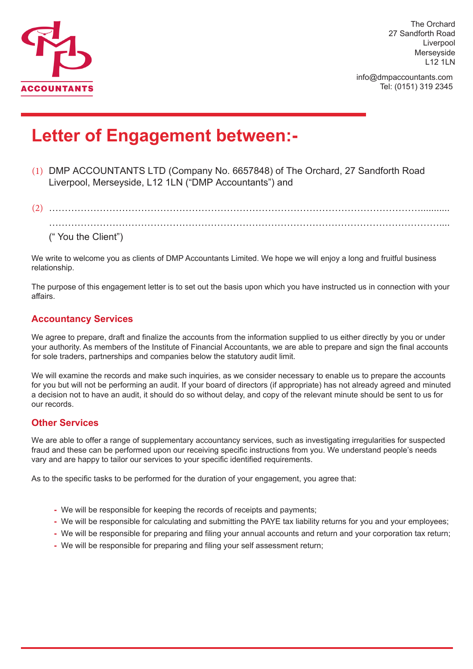

The Orchard 27 Sandforth Road Liverpool Merseyside L12 1LN

info@dmpaccountants.com Tel: (0151) 319 2345

# **Letter of Engagement between:-**

- (1) DMP ACCOUNTANTS LTD (Company No. 6657848) of The Orchard, 27 Sandforth Road Liverpool, Merseyside, L12 1LN ("DMP Accountants") and
- (2) ………………………………………………………………………………………………………........... …………………………………………………………………………………………………………….... (" You the Client")

We write to welcome you as clients of DMP Accountants Limited. We hope we will enjoy a long and fruitful business relationship.

The purpose of this engagement letter is to set out the basis upon which you have instructed us in connection with your affairs.

#### **Accountancy Services**

We agree to prepare, draft and finalize the accounts from the information supplied to us either directly by you or under your authority. As members of the Institute of Financial Accountants, we are able to prepare and sign the final accounts for sole traders, partnerships and companies below the statutory audit limit.

We will examine the records and make such inquiries, as we consider necessary to enable us to prepare the accounts for you but will not be performing an audit. If your board of directors (if appropriate) has not already agreed and minuted a decision not to have an audit, it should do so without delay, and copy of the relevant minute should be sent to us for our records.

#### **Other Services**

We are able to offer a range of supplementary accountancy services, such as investigating irregularities for suspected fraud and these can be performed upon our receiving specific instructions from you. We understand people's needs vary and are happy to tailor our services to your specific identified requirements.

As to the specific tasks to be performed for the duration of your engagement, you agree that:

- **-** We will be responsible for keeping the records of receipts and payments;
- **-** We will be responsible for calculating and submitting the PAYE tax liability returns for you and your employees;
- **-** We will be responsible for preparing and filing your annual accounts and return and your corporation tax return;
- **-** We will be responsible for preparing and filing your self assessment return;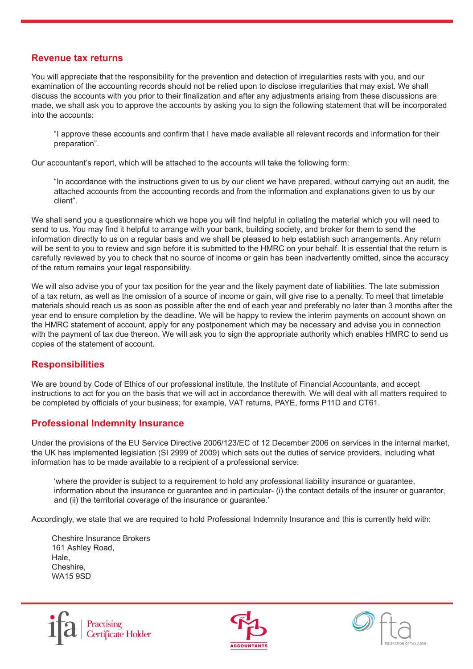#### **Revenue tax returns**

You will appreciate that the responsibility for the prevention and detection of irregularities rests with you, and our examination of the accounting records should not be relied upon to disclose irregularities that may exist. We shall discuss the accounts with you prior to their finalization and after any adjustments arising from these discussions are made, we shall ask you to approve the accounts by asking you to sign the following statement that will be incorporated into the accounts:

"I approve these accounts and confirm that I have made available all relevant records and information for their preparation".

Our accountant's report, which will be attached to the accounts will take the following form:

"In accordance with the instructions given to us by our client we have prepared, without carrying out an audit, the attached accounts from the accounting records and from the information and explanations given to us by our client".

We shall send you a questionnaire which we hope you will find helpful in collating the material which you will need to send to us. You may find it helpful to arrange with your bank, building society, and broker for them to send the information directly to us on a regular basis and we shall be pleased to help establish such arrangements. Any return will be sent to you to review and sign before it is submitted to the HMRC on your behalf. It is essential that the return is carefully reviewed by you to check that no source of income or gain has been inadvertently omitted, since the accuracy of the return remains your legal responsibility.

We will also advise you of your tax position for the year and the likely payment date of liabilities. The late submission of a tax return, as well as the omission of a source of income or gain, will give rise to a penalty. To meet that timetable materials should reach us as soon as possible after the end of each year and preferably no later than 3 months after the year end to ensure completion by the deadline. We will be happy to review the interim payments on account shown on the HMRC statement of account, apply for any postponement which may be necessary and advise you in connection with the payment of tax due thereon. We will ask you to sign the appropriate authority which enables HMRC to send us copies of the statement of account.

#### **Responsibilities**

We are bound by Code of Ethics of our professional institute, the Institute of Financial Accountants, and accept instructions to act for you on the basis that we will act in accordance therewith. We will deal with all matters required to be completed by officials of your business; for example, VAT returns, PAYE, forms P11D and CT61.

#### **Professional Indemnity Insurance**

Under the provisions of the EU Service Directive 2006/123/EC of 12 December 2006 on services in the internal market, the UK has implemented legislation (SI 2999 of 2009) which sets out the duties of service providers, including what information has to be made available to a recipient of a professional service:

'where the provider is subject to a requirement to hold any professional liability insurance or guarantee, information about the insurance or guarantee and in particular- (i) the contact details of the insurer or guarantor, and (ii) the territorial coverage of the insurance or guarantee.'

Accordingly, we state that we are required to hold Professional Indemnity Insurance and this is currently held with:

Cheshire Insurance Brokers 161 Ashley Road, Hale, Cheshire, WA15 9SD





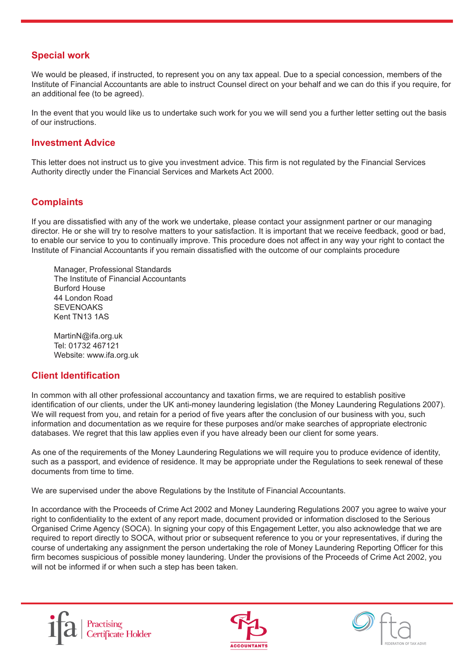#### **Special work**

We would be pleased, if instructed, to represent you on any tax appeal. Due to a special concession, members of the Institute of Financial Accountants are able to instruct Counsel direct on your behalf and we can do this if you require, for an additional fee (to be agreed).

In the event that you would like us to undertake such work for you we will send you a further letter setting out the basis of our instructions.

#### **Investment Advice**

This letter does not instruct us to give you investment advice. This firm is not regulated by the Financial Services Authority directly under the Financial Services and Markets Act 2000.

#### **Complaints**

If you are dissatisfied with any of the work we undertake, please contact your assignment partner or our managing director. He or she will try to resolve matters to your satisfaction. It is important that we receive feedback, good or bad, to enable our service to you to continually improve. This procedure does not affect in any way your right to contact the Institute of Financial Accountants if you remain dissatisfied with the outcome of our complaints procedure

Manager, Professional Standards The Institute of Financial Accountants Burford House 44 London Road **SEVENOAKS** Kent TN13 1AS

MartinN@ifa.org.uk Tel: 01732 467121 Website: www.ifa.org.uk

#### **Client Identification**

In common with all other professional accountancy and taxation firms, we are required to establish positive identification of our clients, under the UK anti-money laundering legislation (the Money Laundering Regulations 2007). We will request from you, and retain for a period of five years after the conclusion of our business with you, such information and documentation as we require for these purposes and/or make searches of appropriate electronic databases. We regret that this law applies even if you have already been our client for some years.

As one of the requirements of the Money Laundering Regulations we will require you to produce evidence of identity, such as a passport, and evidence of residence. It may be appropriate under the Regulations to seek renewal of these documents from time to time.

We are supervised under the above Regulations by the Institute of Financial Accountants.

In accordance with the Proceeds of Crime Act 2002 and Money Laundering Regulations 2007 you agree to waive your right to confidentiality to the extent of any report made, document provided or information disclosed to the Serious Organised Crime Agency (SOCA). In signing your copy of this Engagement Letter, you also acknowledge that we are required to report directly to SOCA, without prior or subsequent reference to you or your representatives, if during the course of undertaking any assignment the person undertaking the role of Money Laundering Reporting Officer for this firm becomes suspicious of possible money laundering. Under the provisions of the Proceeds of Crime Act 2002, you will not be informed if or when such a step has been taken.





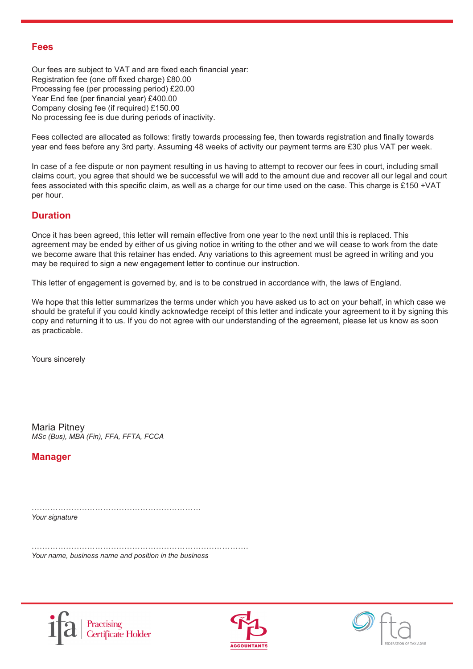#### **Fees**

Our fees are subject to VAT and are fixed each financial year: Registration fee (one off fixed charge) £80.00 Processing fee (per processing period) £20.00 Year End fee (per financial year) £400.00 Company closing fee (if required) £150.00 No processing fee is due during periods of inactivity.

Fees collected are allocated as follows: firstly towards processing fee, then towards registration and finally towards year end fees before any 3rd party. Assuming 48 weeks of activity our payment terms are £30 plus VAT per week.

In case of a fee dispute or non payment resulting in us having to attempt to recover our fees in court, including small claims court, you agree that should we be successful we will add to the amount due and recover all our legal and court fees associated with this specific claim, as well as a charge for our time used on the case. This charge is £150 +VAT per hour.

#### **Duration**

Once it has been agreed, this letter will remain effective from one year to the next until this is replaced. This agreement may be ended by either of us giving notice in writing to the other and we will cease to work from the date we become aware that this retainer has ended. Any variations to this agreement must be agreed in writing and you may be required to sign a new engagement letter to continue our instruction.

This letter of engagement is governed by, and is to be construed in accordance with, the laws of England.

We hope that this letter summarizes the terms under which you have asked us to act on your behalf, in which case we should be grateful if you could kindly acknowledge receipt of this letter and indicate your agreement to it by signing this copy and returning it to us. If you do not agree with our understanding of the agreement, please let us know as soon as practicable.

Yours sincerely

Maria Pitney *MSc (Bus), MBA (Fin), FFA, FFTA, FCCA*

**Manager**

………………………………………………………. *Your signature*

………………………………………………………………………. *Your name, business name and position in the business*





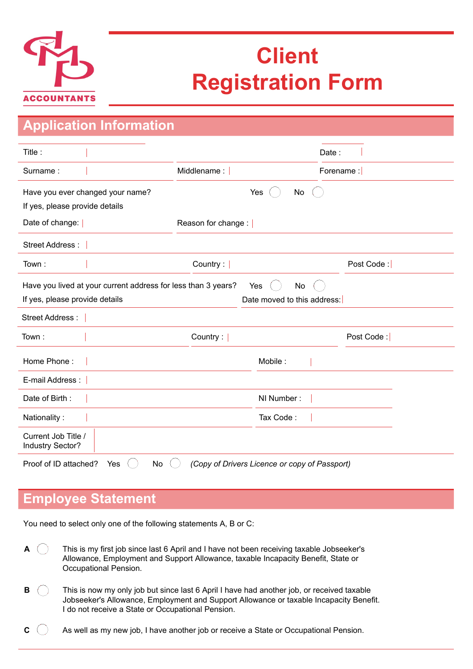

# **Client Registration Form**

| <b>Application Information</b>                                                                                                              |                         |                                               |            |  |
|---------------------------------------------------------------------------------------------------------------------------------------------|-------------------------|-----------------------------------------------|------------|--|
| Title:                                                                                                                                      |                         | Date:                                         |            |  |
| Surname:                                                                                                                                    | Middlename:             | Forename:                                     |            |  |
| Have you ever changed your name?<br>If yes, please provide details                                                                          |                         | Yes<br>No                                     |            |  |
| Date of change:                                                                                                                             | Reason for change : $ $ |                                               |            |  |
| Street Address :                                                                                                                            |                         |                                               |            |  |
| Town:                                                                                                                                       | Country:                |                                               | Post Code: |  |
| Have you lived at your current address for less than 3 years?<br>No<br>Yes<br>Date moved to this address:<br>If yes, please provide details |                         |                                               |            |  |
| <b>Street Address:</b>                                                                                                                      |                         |                                               |            |  |
| Town:                                                                                                                                       | Country:                |                                               | Post Code: |  |
| Home Phone:                                                                                                                                 |                         | Mobile:                                       |            |  |
| E-mail Address:                                                                                                                             |                         |                                               |            |  |
| Date of Birth:                                                                                                                              |                         | NI Number:                                    |            |  |
| Nationality:                                                                                                                                |                         | Tax Code:                                     |            |  |
| Current Job Title /<br>Industry Sector?                                                                                                     |                         |                                               |            |  |
| Proof of ID attached?<br>Yes<br><b>No</b>                                                                                                   |                         | (Copy of Drivers Licence or copy of Passport) |            |  |

### **Employee Statement**

You need to select only one of the following statements A, B or C:

- **A** This is my first job since last 6 April and I have not been receiving taxable Jobseeker's  $\left(\begin{array}{c} \end{array}\right)$ Allowance, Employment and Support Allowance, taxable Incapacity Benefit, State or Occupational Pension.
- **B** This is now my only job but since last 6 April I have had another job, or received taxable Jobseeker's Allowance, Employment and Support Allowance or taxable Incapacity Benefit. I do not receive a State or Occupational Pension.
- $\mathbf{C}$   $\Box$  As well as my new job, I have another job or receive a State or Occupational Pension.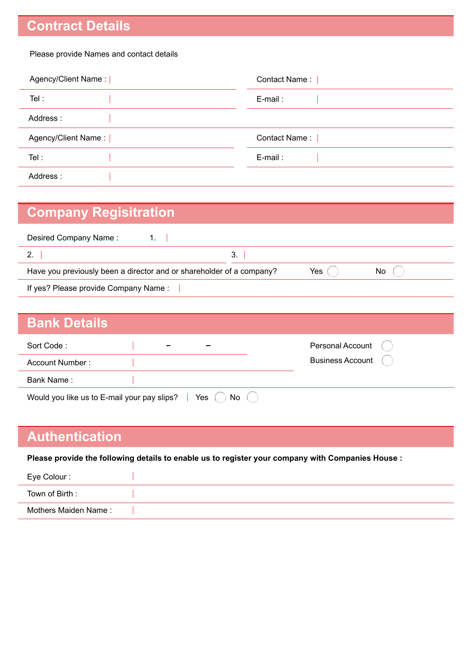# **Contract Details**

#### Please provide Names and contact details

| Agency/Client Name: | Contact Name: |
|---------------------|---------------|
| Tel:                | E-mail:       |
| Address:            |               |
| Agency/Client Name: | Contact Name: |
| Tel:                | $E$ -mail:    |
| Address:            |               |

### **Company Regisitration**

| Desired Company Name:                                                |            |  |  |  |
|----------------------------------------------------------------------|------------|--|--|--|
|                                                                      | 3.         |  |  |  |
| Have you previously been a director and or shareholder of a company? | Yes<br>No. |  |  |  |
| If yes? Please provide Company Name:                                 |            |  |  |  |
|                                                                      |            |  |  |  |

| <b>Bank Details</b>                         |                          |                         |
|---------------------------------------------|--------------------------|-------------------------|
| Sort Code:                                  | $\overline{\phantom{0}}$ | Personal Account        |
| Account Number:                             |                          | <b>Business Account</b> |
| Bank Name:                                  |                          |                         |
| Would you like us to E-mail your pay slips? | Yes<br>No                |                         |

### **Authentication**

**Please provide the following details to enable us to register your company with Companies House :**

| Eye Colour :         |  |
|----------------------|--|
| Town of Birth :      |  |
| Mothers Maiden Name: |  |